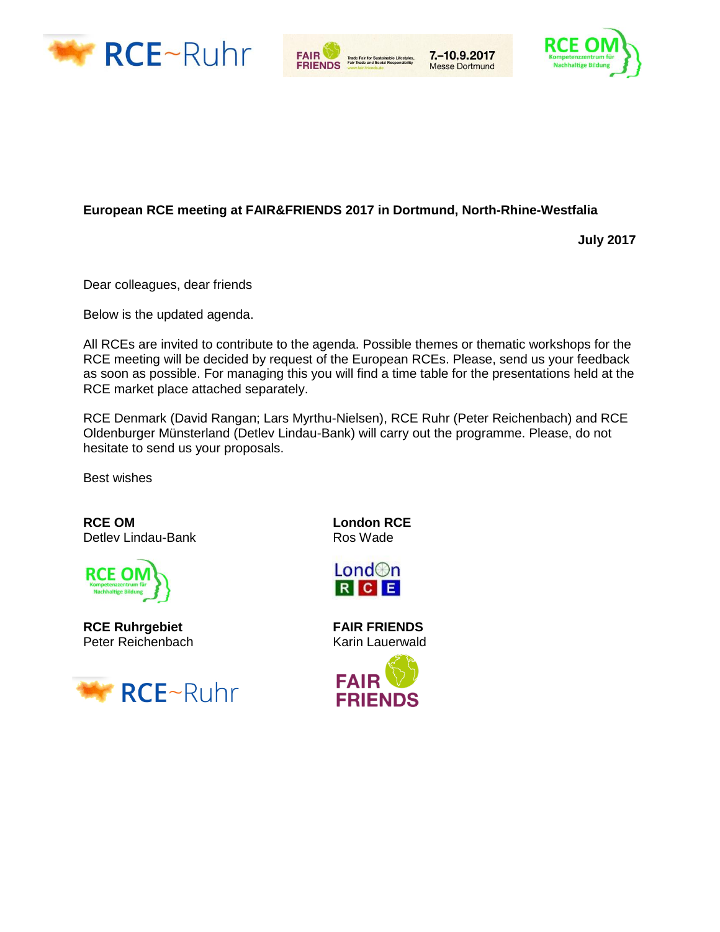



7. - 10.9.2017

**Messe Dortmund** 



#### **European RCE meeting at FAIR&FRIENDS 2017 in Dortmund, North-Rhine-Westfalia**

**July 2017**

Dear colleagues, dear friends

Below is the updated agenda.

All RCEs are invited to contribute to the agenda. Possible themes or thematic workshops for the RCE meeting will be decided by request of the European RCEs. Please, send us your feedback as soon as possible. For managing this you will find a time table for the presentations held at the RCE market place attached separately.

RCE Denmark (David Rangan; Lars Myrthu-Nielsen), RCE Ruhr (Peter Reichenbach) and RCE Oldenburger Münsterland (Detlev Lindau-Bank) will carry out the programme. Please, do not hesitate to send us your proposals.

Best wishes

**RCE OM London RCE**<br>
Detlev Lindau-Bank **CONCE**<br>
Ros Wade Detlev Lindau-Bank



**RCE Ruhrgebiet FAIR FRIENDS**  Peter Reichenbach Karin Lauerwald





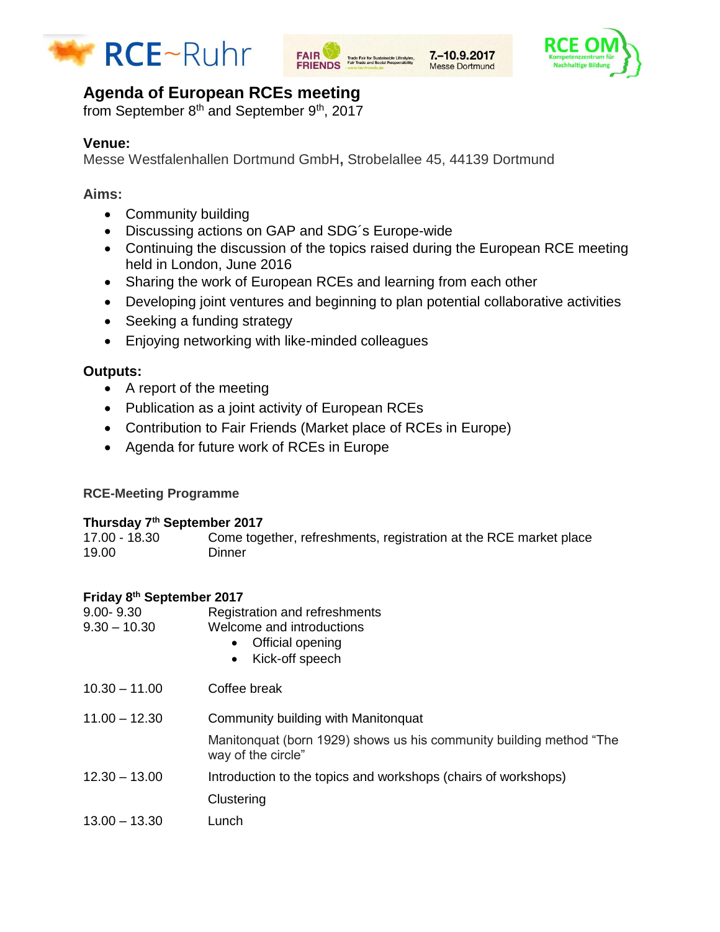





# **Agenda of European RCEs meeting**

from September 8<sup>th</sup> and September 9<sup>th</sup>, 2017

# **Venue:**

Messe Westfalenhallen Dortmund GmbH**,** Strobelallee 45, 44139 Dortmund

# **Aims:**

- Community building
- Discussing actions on GAP and SDG´s Europe-wide
- Continuing the discussion of the topics raised during the European RCE meeting held in London, June 2016
- Sharing the work of European RCEs and learning from each other
- Developing joint ventures and beginning to plan potential collaborative activities
- Seeking a funding strategy
- Enjoying networking with like-minded colleagues

# **Outputs:**

- A report of the meeting
- Publication as a joint activity of European RCEs
- Contribution to Fair Friends (Market place of RCEs in Europe)
- Agenda for future work of RCEs in Europe

## **RCE-Meeting Programme**

#### **Thursday 7th September 2017**

| 17.00 - 18.30 | Come together, refreshments, registration at the RCE market place |
|---------------|-------------------------------------------------------------------|
| 19.00         | Dinner                                                            |

## **Friday 8 th September 2017**

| 9.00-9.30<br>$9.30 - 10.30$ | Registration and refreshments<br>Welcome and introductions<br>Official opening<br>Kick-off speech<br>$\bullet$ |
|-----------------------------|----------------------------------------------------------------------------------------------------------------|
| $10.30 - 11.00$             | Coffee break                                                                                                   |
| $11.00 - 12.30$             | Community building with Manitonquat                                                                            |
|                             | Manitonquat (born 1929) shows us his community building method "The<br>way of the circle"                      |
| $12.30 - 13.00$             | Introduction to the topics and workshops (chairs of workshops)                                                 |
|                             | Clustering                                                                                                     |
| $13.00 - 13.30$             | Lunch                                                                                                          |
|                             |                                                                                                                |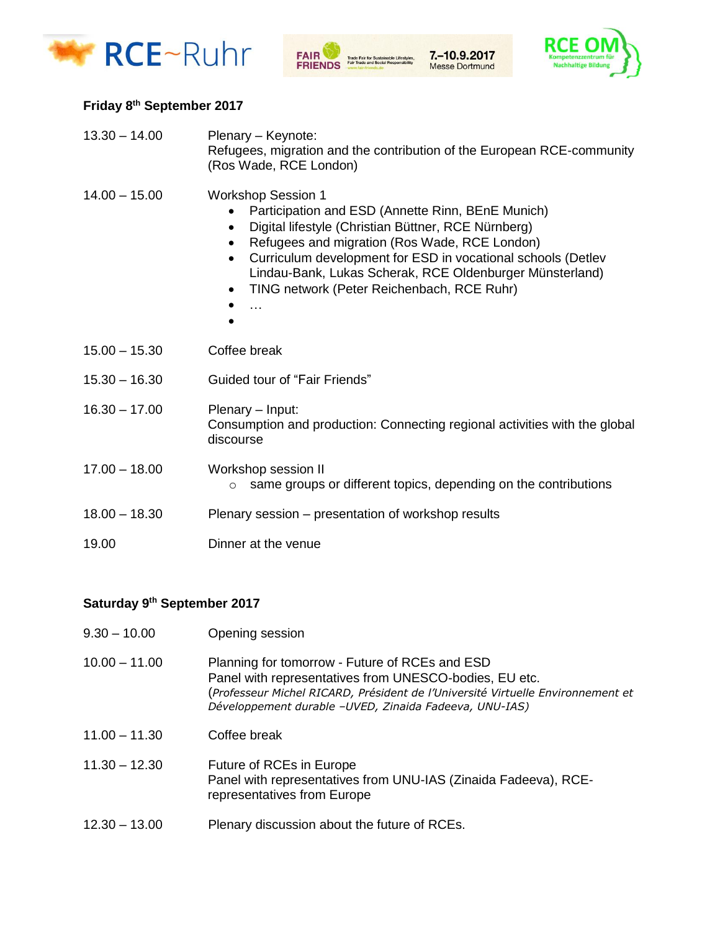





#### **Friday 8th September 2017**

| $13.30 - 14.00$ | Plenary - Keynote:<br>Refugees, migration and the contribution of the European RCE-community<br>(Ros Wade, RCE London)                                                                                                                                                                                                                                                                                            |  |
|-----------------|-------------------------------------------------------------------------------------------------------------------------------------------------------------------------------------------------------------------------------------------------------------------------------------------------------------------------------------------------------------------------------------------------------------------|--|
| $14.00 - 15.00$ | <b>Workshop Session 1</b><br>Participation and ESD (Annette Rinn, BEnE Munich)<br>Digital lifestyle (Christian Büttner, RCE Nürnberg)<br>$\bullet$<br>Refugees and migration (Ros Wade, RCE London)<br>٠<br>Curriculum development for ESD in vocational schools (Detlev<br>$\bullet$<br>Lindau-Bank, Lukas Scherak, RCE Oldenburger Münsterland)<br>TING network (Peter Reichenbach, RCE Ruhr)<br>$\bullet$<br>. |  |
| $15.00 - 15.30$ | Coffee break                                                                                                                                                                                                                                                                                                                                                                                                      |  |
| $15.30 - 16.30$ | <b>Guided tour of "Fair Friends"</b>                                                                                                                                                                                                                                                                                                                                                                              |  |
| $16.30 - 17.00$ | Plenary - Input:<br>Consumption and production: Connecting regional activities with the global<br>discourse                                                                                                                                                                                                                                                                                                       |  |
| $17.00 - 18.00$ | Workshop session II<br>same groups or different topics, depending on the contributions<br>$\circ$                                                                                                                                                                                                                                                                                                                 |  |
| $18.00 - 18.30$ | Plenary session – presentation of workshop results                                                                                                                                                                                                                                                                                                                                                                |  |
| 19.00           | Dinner at the venue                                                                                                                                                                                                                                                                                                                                                                                               |  |

## **Saturday 9th September 2017**

| $9.30 - 10.00$ | Opening session |
|----------------|-----------------|
|                |                 |

- 10.00 11.00 Planning for tomorrow Future of RCEs and ESD Panel with representatives from UNESCO-bodies, EU etc. (*Professeur Michel RICARD, Président de l'Université Virtuelle Environnement et Développement durable –UVED, Zinaida Fadeeva, UNU-IAS)*
- 11.00 11.30 Coffee break
- 11.30 12.30 Future of RCEs in Europe Panel with representatives from UNU-IAS (Zinaida Fadeeva), RCErepresentatives from Europe
- 12.30 13.00 Plenary discussion about the future of RCEs.